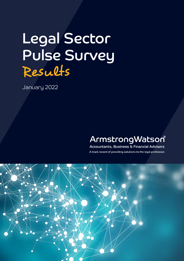# Legal Sector Pulse Survey Results

January 2022

# ArmstrongWatson®

Accountants, Business & Financial Advisers A track record of providing solutions to the legal profession

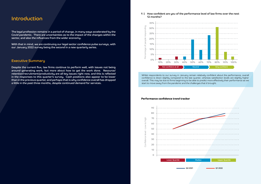Whilst respondents to our survey in January remain relatively confident about the performance, overall confidence is down slightly compared to the last quarter, whereas satisfaction levels are slightly higher overall. This may be due to firms beginning to be able to predict more effectively their performance as we start to move away from the pandemic and the challenges that it brought.

## Introduction

The legal profession remains in a period of change, in many ways accelerated by the Covid pandemic. There are uncertainties as to the impact of the changes within the sector, and also the influences from the wider economy.

**1 |** How confident are you of the performance level of law firms over the next 12 months?



With that in mind, we are continuing our legal sector confidence pulse surveys, with our January 2022 survey being the second in a new quarterly series.

### Executive Summary

Despite the current flux, law firms continue to perform well, with issues not being around generating work, but more about how to get the work done. Resource/ retention/recruitment/productivity are all key issues right now, and this is reflected in the responses to this quarter's survey. Cash positions also appear to be lower than in the previous quarter, and perhaps that is why confidence overall has dropped a little in the past three months, despite continued demand for services.



#### **Performance confidence trend tracker**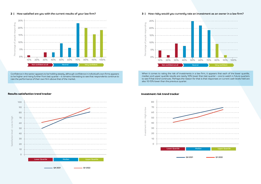#### **2 |** How satisfied are you with the current results of your law firm?

Confidence in the sector appears to be holding steady, although confidence in individual's own firms appears to be higher and rising further from last quarter – it remains interesting to see that respondents continue to rate the performance of their own firm above that of the market.





### 25% esponding Percentage of people responding 20% of people 15% 10% Percentage 5%

0%

#### **3 |** How risky would you currently rate an investment as an owner in a law firm?



When it comes to rating the risk of investments in a law firm, it appears that each of the lower quartile, median and upper quartile results are nearly 10% lower than last quarter – one to watch in future quarters to see if that trend continues. Perhaps the reason for that is that responses on current cash levels held are also 10-15% lower than the previous quarter.



#### **Investment risk trend tracker**

#### **Results satisfaction trend tracker**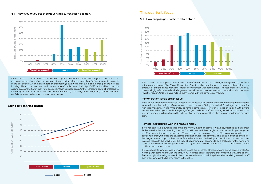**4 |** How would you describe your firm's current cash position?

It remains to be seen whether the respondents' opinion on their cash position will improve over time as the economy settles down after the pandemic. Many partners had to meet their Self-Assessment payments in the last quarter which might impact on their feelings, and we cannot avoid commenting on the increase in utility bills and the proposed National Insurance Contributions hike in April 2022 which will no doubt be adding pressure to firms' cash flow positions. When you also consider the increasing costs of professional indemnity insurance and the issues around staff retention (see below), it is not surprising that respondents' confidence levels in their cash position have declined.



### This quarter's focus

#### **5 |** How easy do you find it to retain staff?

This quarter's focus appears to have been on staff retention and the challenges being faced by law firms in the current climate. The "Great Resignation," as it has become known, is causing problems for most employers, and the issues within the legal sector have been well-documented. The responses in our survey unsurprisingly reflect the wider challenges and we will look at these in more depth here whilst also looking at what the respondents felt were helping them to deal with the competitive market.

#### Remuneration levels are an issue

Many of our respondents cite salary inflation as a concern, with several people commenting that managing expectations is becoming difficult when competitors are offering "unrealistic" packages and benefits, with that impacting on the firm's ability to remain competitive. However, it is not one-sided, with several respondents advising that whilst they may offer good salaries, staff are looking for additional benefits, not just high wages, which is allowing them to be slightly more competitive when looking at retaining or hiring staff.

#### Remote- and flexible-working feature highly

It will not come as a surprise that firms are finding that their staff are being approached by firms from further afield. If there is one thing that the Covid-19 pandemic has taught us, it is that working wholly from an office does not have to be the norm. There has been an increase in firms offering remote working as an additional benefit, whereas pre-pandemic, those jobs were less common. This gives individuals outside of the bigger cities an opportunity to work for the firms located in the city centres without the need for them to move nearer. In the short term, this type of opportunity will continue to be a challenge for the firms who have relied on their teams living outside of the bigger cities, however it remains to be seen whether this will continue over the long term.

The respondents who are not facing these issues are generally already offering some degree of flexible working, with some hybrid working thrown in. This does tell us, therefore, that firms who are willing to offer flexible or hybrid working, at least in the short to medium term, will likely have a better ability to retain staff than those who want a full time return to the office.





#### **Cash position trend tracker**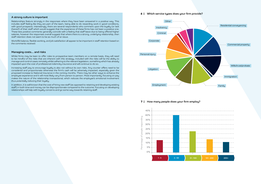#### **7 |** How many people does your firm employ?



#### A strong culture is important

Relationships feature strongly in the responses where they have been answered in a positive way. This includes staff feeling like they are part of the team, being able to do rewarding work in good conditions, with good prospects. Interestingly, there are several respondents who comment upon the loyalty (or lack thereof) of their staff which would suggest that the experience of these firms has not been a positive one. These less positive comments generally coincide with a feeling that staff leave due to being offered higher salaries, however the responses overall suggest that where there is a strong, underlying relationship, then staff retention does not seem to be as much of an issue.

Work/life balance, flexible working, and job satisfaction all appear to be important in staff retention based on the comments received.

#### Managing costs… and risks

Whilst firms may be keen to offer roles to prospective team members on a remote basis, they will need to be mindful of the risks that are inherent with this strategy. Included with the risks will be the ability to manage and control cases remotely whilst adhering to the relevant legislation, something which has already impacted upon the cost of professional indemnity insurance and will continue to do so.

**6** | Which service types does your firm provide?



Increasing staff pay to encourage loyalty is also not without its own risks. Any counter offers need to be considered and proportionate otherwise the firm's cash will be adversely impacted, especially given the proposed increase to National Insurance in the coming months. There may be other ways to enhance the employee experience and it will most likely vary from person to person. Most importantly, focusing on pay makes the nature of the relationship transactional, which reduces the employee's emotional involvement thus potentially reducing their loyalty.

In addition, it is well-known that the cost of hiring new staff (as opposed to retaining and developing existing staff) in both time and money can be disproportionate compared to the outcome. Focusing on developing relationships will help with loyalty concerns and go some way towards retaining staff.